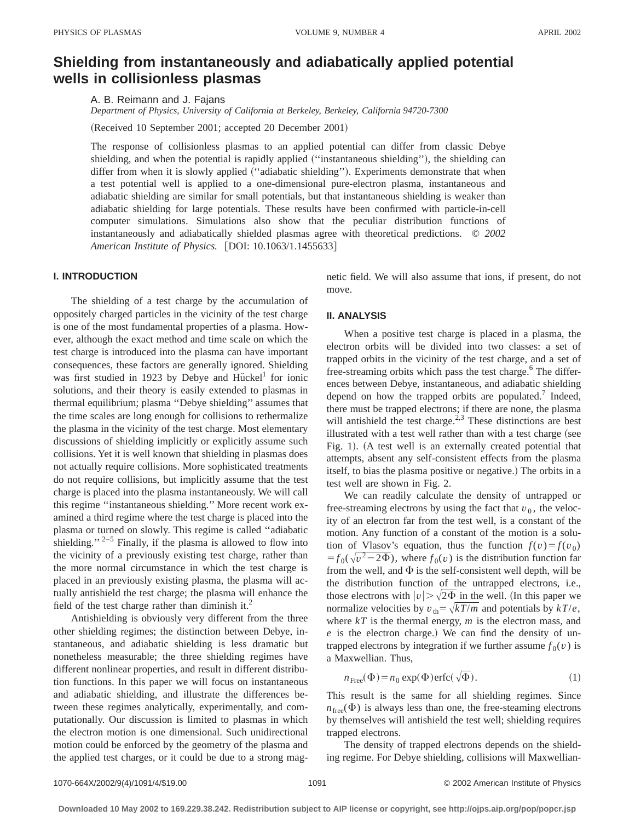# **Shielding from instantaneously and adiabatically applied potential wells in collisionless plasmas**

A. B. Reimann and J. Fajans *Department of Physics, University of California at Berkeley, Berkeley, California 94720-7300*

(Received 10 September 2001; accepted 20 December 2001)

The response of collisionless plasmas to an applied potential can differ from classic Debye shielding, and when the potential is rapidly applied ("instantaneous shielding"), the shielding can differ from when it is slowly applied ("adiabatic shielding"). Experiments demonstrate that when a test potential well is applied to a one-dimensional pure-electron plasma, instantaneous and adiabatic shielding are similar for small potentials, but that instantaneous shielding is weaker than adiabatic shielding for large potentials. These results have been confirmed with particle-in-cell computer simulations. Simulations also show that the peculiar distribution functions of instantaneously and adiabatically shielded plasmas agree with theoretical predictions. © *2002* American Institute of Physics. [DOI: 10.1063/1.1455633]

## **I. INTRODUCTION**

The shielding of a test charge by the accumulation of oppositely charged particles in the vicinity of the test charge is one of the most fundamental properties of a plasma. However, although the exact method and time scale on which the test charge is introduced into the plasma can have important consequences, these factors are generally ignored. Shielding was first studied in 1923 by Debye and Hückel<sup>1</sup> for ionic solutions, and their theory is easily extended to plasmas in thermal equilibrium; plasma ''Debye shielding'' assumes that the time scales are long enough for collisions to rethermalize the plasma in the vicinity of the test charge. Most elementary discussions of shielding implicitly or explicitly assume such collisions. Yet it is well known that shielding in plasmas does not actually require collisions. More sophisticated treatments do not require collisions, but implicitly assume that the test charge is placed into the plasma instantaneously. We will call this regime ''instantaneous shielding.'' More recent work examined a third regime where the test charge is placed into the plasma or turned on slowly. This regime is called ''adiabatic shielding."  $2-5$  Finally, if the plasma is allowed to flow into the vicinity of a previously existing test charge, rather than the more normal circumstance in which the test charge is placed in an previously existing plasma, the plasma will actually antishield the test charge; the plasma will enhance the field of the test charge rather than diminish it. $^{2}$ 

Antishielding is obviously very different from the three other shielding regimes; the distinction between Debye, instantaneous, and adiabatic shielding is less dramatic but nonetheless measurable; the three shielding regimes have different nonlinear properties, and result in different distribution functions. In this paper we will focus on instantaneous and adiabatic shielding, and illustrate the differences between these regimes analytically, experimentally, and computationally. Our discussion is limited to plasmas in which the electron motion is one dimensional. Such unidirectional motion could be enforced by the geometry of the plasma and the applied test charges, or it could be due to a strong magnetic field. We will also assume that ions, if present, do not move.

### **II. ANALYSIS**

When a positive test charge is placed in a plasma, the electron orbits will be divided into two classes: a set of trapped orbits in the vicinity of the test charge, and a set of free-streaming orbits which pass the test charge.<sup>6</sup> The differences between Debye, instantaneous, and adiabatic shielding depend on how the trapped orbits are populated.<sup>7</sup> Indeed, there must be trapped electrons; if there are none, the plasma will antishield the test charge.<sup>2,3</sup> These distinctions are best illustrated with a test well rather than with a test charge (see Fig. 1). (A test well is an externally created potential that attempts, absent any self-consistent effects from the plasma itself, to bias the plasma positive or negative.) The orbits in a test well are shown in Fig. 2.

We can readily calculate the density of untrapped or free-streaming electrons by using the fact that  $v_0$ , the velocity of an electron far from the test well, is a constant of the motion. Any function of a constant of the motion is a solution of Vlasov's equation, thus the function  $f(v) = f(v_0)$  $= f_0(\sqrt{v^2 - 2\Phi})$ , where  $f_0(v)$  is the distribution function far from the well, and  $\Phi$  is the self-consistent well depth, will be the distribution function of the untrapped electrons, i.e., those electrons with  $|v| > \sqrt{2\Phi}$  in the well. (In this paper we normalize velocities by  $v_{\text{th}} = \sqrt{kT/m}$  and potentials by  $kT/e$ , where  $kT$  is the thermal energy,  $m$  is the electron mass, and  $e$  is the electron charge.) We can find the density of untrapped electrons by integration if we further assume  $f_0(v)$  is a Maxwellian. Thus,

$$
n_{\text{Free}}(\Phi) = n_0 \exp(\Phi) \text{erfc}(\sqrt{\Phi}).\tag{1}
$$

This result is the same for all shielding regimes. Since  $n_{\text{free}}(\Phi)$  is always less than one, the free-steaming electrons by themselves will antishield the test well; shielding requires trapped electrons.

The density of trapped electrons depends on the shielding regime. For Debye shielding, collisions will Maxwellian-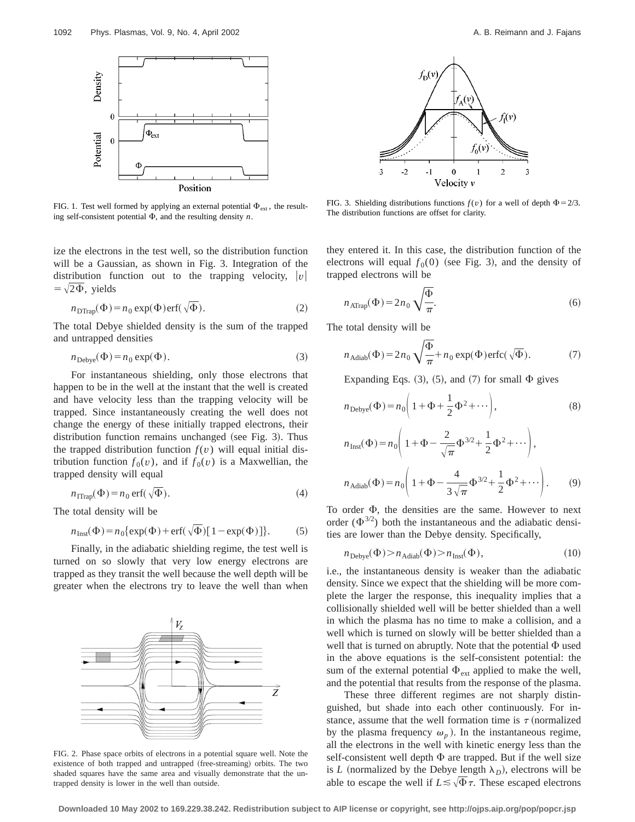

FIG. 1. Test well formed by applying an external potential  $\Phi_{ext}$ , the result-<br>FIG. 1. The distribution functions are offset for clarity. ing self-consistent potential  $\Phi$ , and the resulting density *n*.

ize the electrons in the test well, so the distribution function will be a Gaussian, as shown in Fig. 3. Integration of the distribution function out to the trapping velocity,  $|v|$  $=\sqrt{2\Phi}$ , yields

$$
n_{\text{DTrap}}(\Phi) = n_0 \exp(\Phi) \text{erf}(\sqrt{\Phi}).\tag{2}
$$

The total Debye shielded density is the sum of the trapped and untrapped densities

$$
n_{\text{Debye}}(\Phi) = n_0 \exp(\Phi). \tag{3}
$$

For instantaneous shielding, only those electrons that happen to be in the well at the instant that the well is created and have velocity less than the trapping velocity will be trapped. Since instantaneously creating the well does not change the energy of these initially trapped electrons, their distribution function remains unchanged (see Fig. 3). Thus the trapped distribution function  $f(v)$  will equal initial distribution function  $f_0(v)$ , and if  $f_0(v)$  is a Maxwellian, the trapped density will equal

$$
n_{\text{ITrap}}(\Phi) = n_0 \text{ erf}(\sqrt{\Phi}).\tag{4}
$$

The total density will be

$$
n_{\text{Inst}}(\Phi) = n_0 \{ \exp(\Phi) + \text{erf}(\sqrt{\Phi}) [1 - \exp(\Phi)] \}. \tag{5}
$$

Finally, in the adiabatic shielding regime, the test well is turned on so slowly that very low energy electrons are trapped as they transit the well because the well depth will be greater when the electrons try to leave the well than when



FIG. 2. Phase space orbits of electrons in a potential square well. Note the existence of both trapped and untrapped (free-streaming) orbits. The two shaded squares have the same area and visually demonstrate that the untrapped density is lower in the well than outside.



FIG. 3. Shielding distributions functions  $f(v)$  for a well of depth  $\Phi = 2/3$ .

they entered it. In this case, the distribution function of the electrons will equal  $f_0(0)$  (see Fig. 3), and the density of trapped electrons will be

$$
n_{\text{ATrap}}(\Phi) = 2n_0 \sqrt{\frac{\Phi}{\pi}}.
$$
\n(6)

The total density will be

$$
n_{\text{Adiab}}(\Phi) = 2n_0 \sqrt{\frac{\Phi}{\pi}} + n_0 \exp(\Phi) \text{erfc}(\sqrt{\Phi}). \tag{7}
$$

Expanding Eqs.  $(3)$ ,  $(5)$ , and  $(7)$  for small  $\Phi$  gives

$$
n_{\text{Debye}}(\Phi) = n_0 \left( 1 + \Phi + \frac{1}{2} \Phi^2 + \cdots \right),\tag{8}
$$

$$
n_{\text{Inst}}(\Phi) = n_0 \left( 1 + \Phi - \frac{2}{\sqrt{\pi}} \Phi^{3/2} + \frac{1}{2} \Phi^2 + \cdots \right),
$$
  

$$
n_{\text{Adiab}}(\Phi) = n_0 \left( 1 + \Phi - \frac{4}{3\sqrt{\pi}} \Phi^{3/2} + \frac{1}{2} \Phi^2 + \cdots \right).
$$
 (9)

To order  $\Phi$ , the densities are the same. However to next order  $(\Phi^{3/2})$  both the instantaneous and the adiabatic densities are lower than the Debye density. Specifically,

$$
n_{\text{Debye}}(\Phi) > n_{\text{Adiab}}(\Phi) > n_{\text{Inst}}(\Phi),\tag{10}
$$

i.e., the instantaneous density is weaker than the adiabatic density. Since we expect that the shielding will be more complete the larger the response, this inequality implies that a collisionally shielded well will be better shielded than a well in which the plasma has no time to make a collision, and a well which is turned on slowly will be better shielded than a well that is turned on abruptly. Note that the potential  $\Phi$  used in the above equations is the self-consistent potential: the sum of the external potential  $\Phi_{ext}$  applied to make the well, and the potential that results from the response of the plasma.

These three different regimes are not sharply distinguished, but shade into each other continuously. For instance, assume that the well formation time is  $\tau$  (normalized by the plasma frequency  $\omega_n$ ). In the instantaneous regime, all the electrons in the well with kinetic energy less than the self-consistent well depth  $\Phi$  are trapped. But if the well size is *L* (normalized by the Debye length  $\lambda_D$ ), electrons will be able to escape the well if  $L \leq \sqrt{\Phi} \tau$ . These escaped electrons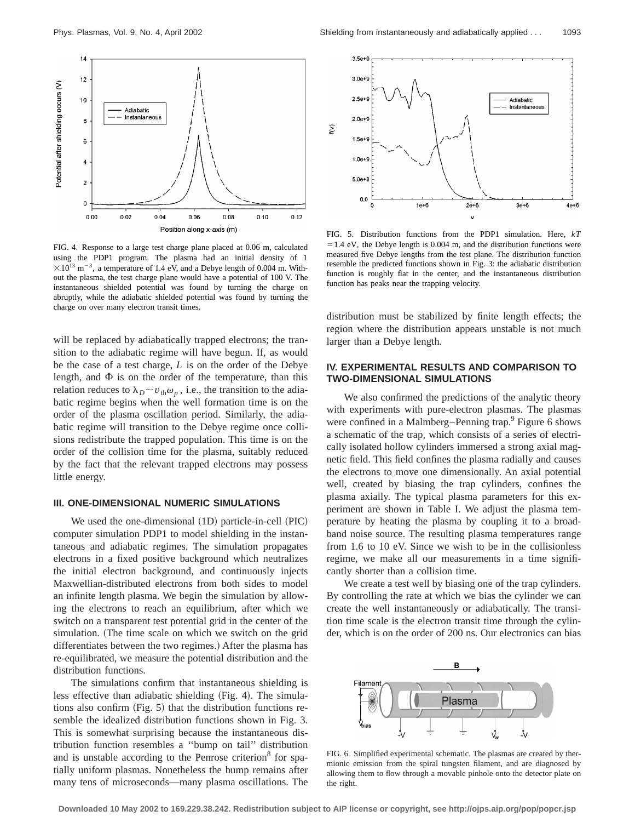

FIG. 4. Response to a large test charge plane placed at 0.06 m, calculated using the PDP1 program. The plasma had an initial density of 1  $\times 10^{13}$  m<sup>-3</sup>, a temperature of 1.4 eV, and a Debye length of 0.004 m. Without the plasma, the test charge plane would have a potential of 100 V. The instantaneous shielded potential was found by turning the charge on abruptly, while the adiabatic shielded potential was found by turning the charge on over many electron transit times.

will be replaced by adiabatically trapped electrons; the transition to the adiabatic regime will have begun. If, as would be the case of a test charge, *L* is on the order of the Debye length, and  $\Phi$  is on the order of the temperature, than this relation reduces to  $\lambda_D \sim v_{\text{th}} \omega_p$ , i.e., the transition to the adiabatic regime begins when the well formation time is on the order of the plasma oscillation period. Similarly, the adiabatic regime will transition to the Debye regime once collisions redistribute the trapped population. This time is on the order of the collision time for the plasma, suitably reduced by the fact that the relevant trapped electrons may possess little energy.

#### **III. ONE-DIMENSIONAL NUMERIC SIMULATIONS**

We used the one-dimensional  $(1D)$  particle-in-cell  $(PIC)$ computer simulation PDP1 to model shielding in the instantaneous and adiabatic regimes. The simulation propagates electrons in a fixed positive background which neutralizes the initial electron background, and continuously injects Maxwellian-distributed electrons from both sides to model an infinite length plasma. We begin the simulation by allowing the electrons to reach an equilibrium, after which we switch on a transparent test potential grid in the center of the simulation. (The time scale on which we switch on the grid differentiates between the two regimes.) After the plasma has re-equilibrated, we measure the potential distribution and the distribution functions.

The simulations confirm that instantaneous shielding is less effective than adiabatic shielding (Fig. 4). The simulations also confirm  $(Fig. 5)$  that the distribution functions resemble the idealized distribution functions shown in Fig. 3. This is somewhat surprising because the instantaneous distribution function resembles a ''bump on tail'' distribution and is unstable according to the Penrose criterion<sup>8</sup> for spatially uniform plasmas. Nonetheless the bump remains after many tens of microseconds—many plasma oscillations. The



FIG. 5. Distribution functions from the PDP1 simulation. Here, *kT*  $=1.4$  eV, the Debye length is 0.004 m, and the distribution functions were measured five Debye lengths from the test plane. The distribution function resemble the predicted functions shown in Fig. 3: the adiabatic distribution function is roughly flat in the center, and the instantaneous distribution function has peaks near the trapping velocity.

distribution must be stabilized by finite length effects; the region where the distribution appears unstable is not much larger than a Debye length.

## **IV. EXPERIMENTAL RESULTS AND COMPARISON TO TWO-DIMENSIONAL SIMULATIONS**

We also confirmed the predictions of the analytic theory with experiments with pure-electron plasmas. The plasmas were confined in a Malmberg–Penning trap.<sup>9</sup> Figure 6 shows a schematic of the trap, which consists of a series of electrically isolated hollow cylinders immersed a strong axial magnetic field. This field confines the plasma radially and causes the electrons to move one dimensionally. An axial potential well, created by biasing the trap cylinders, confines the plasma axially. The typical plasma parameters for this experiment are shown in Table I. We adjust the plasma temperature by heating the plasma by coupling it to a broadband noise source. The resulting plasma temperatures range from 1.6 to 10 eV. Since we wish to be in the collisionless regime, we make all our measurements in a time significantly shorter than a collision time.

We create a test well by biasing one of the trap cylinders. By controlling the rate at which we bias the cylinder we can create the well instantaneously or adiabatically. The transition time scale is the electron transit time through the cylinder, which is on the order of 200 ns. Our electronics can bias



FIG. 6. Simplified experimental schematic. The plasmas are created by thermionic emission from the spiral tungsten filament, and are diagnosed by allowing them to flow through a movable pinhole onto the detector plate on the right.

**Downloaded 10 May 2002 to 169.229.38.242. Redistribution subject to AIP license or copyright, see http://ojps.aip.org/pop/popcr.jsp**